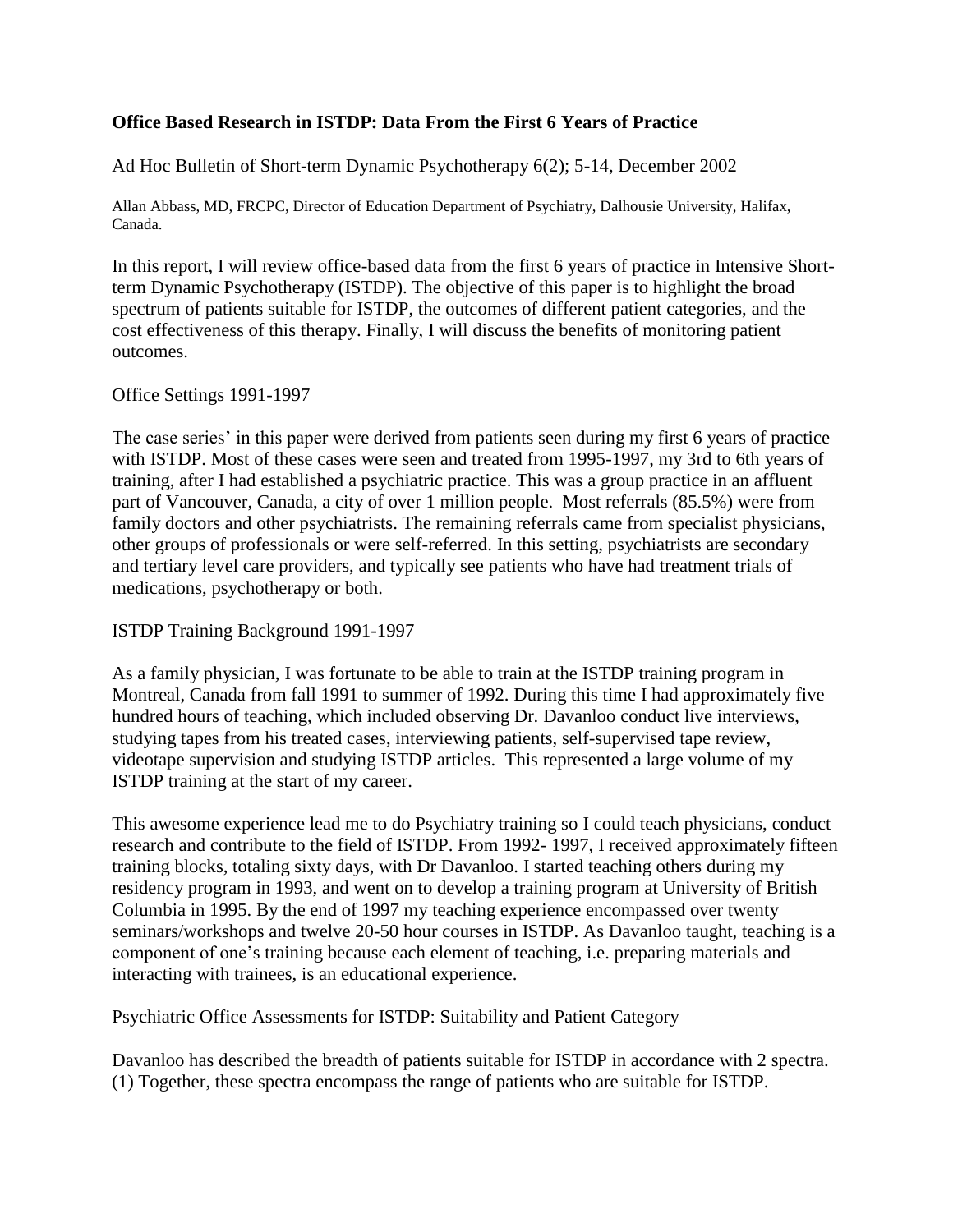#### **Office Based Research in ISTDP: Data From the First 6 Years of Practice**

Ad Hoc Bulletin of Short-term Dynamic Psychotherapy 6(2); 5-14, December 2002

Allan Abbass, MD, FRCPC, Director of Education Department of Psychiatry, Dalhousie University, Halifax, Canada.

In this report, I will review office-based data from the first 6 years of practice in Intensive Shortterm Dynamic Psychotherapy (ISTDP). The objective of this paper is to highlight the broad spectrum of patients suitable for ISTDP, the outcomes of different patient categories, and the cost effectiveness of this therapy. Finally, I will discuss the benefits of monitoring patient outcomes.

#### Office Settings 1991-1997

The case series' in this paper were derived from patients seen during my first 6 years of practice with ISTDP. Most of these cases were seen and treated from 1995-1997, my 3rd to 6th years of training, after I had established a psychiatric practice. This was a group practice in an affluent part of Vancouver, Canada, a city of over 1 million people. Most referrals (85.5%) were from family doctors and other psychiatrists. The remaining referrals came from specialist physicians, other groups of professionals or were self-referred. In this setting, psychiatrists are secondary and tertiary level care providers, and typically see patients who have had treatment trials of medications, psychotherapy or both.

ISTDP Training Background 1991-1997

As a family physician, I was fortunate to be able to train at the ISTDP training program in Montreal, Canada from fall 1991 to summer of 1992. During this time I had approximately five hundred hours of teaching, which included observing Dr. Davanloo conduct live interviews, studying tapes from his treated cases, interviewing patients, self-supervised tape review, videotape supervision and studying ISTDP articles. This represented a large volume of my ISTDP training at the start of my career.

This awesome experience lead me to do Psychiatry training so I could teach physicians, conduct research and contribute to the field of ISTDP. From 1992- 1997, I received approximately fifteen training blocks, totaling sixty days, with Dr Davanloo. I started teaching others during my residency program in 1993, and went on to develop a training program at University of British Columbia in 1995. By the end of 1997 my teaching experience encompassed over twenty seminars/workshops and twelve 20-50 hour courses in ISTDP. As Davanloo taught, teaching is a component of one's training because each element of teaching, i.e. preparing materials and interacting with trainees, is an educational experience.

Psychiatric Office Assessments for ISTDP: Suitability and Patient Category

Davanloo has described the breadth of patients suitable for ISTDP in accordance with 2 spectra. (1) Together, these spectra encompass the range of patients who are suitable for ISTDP.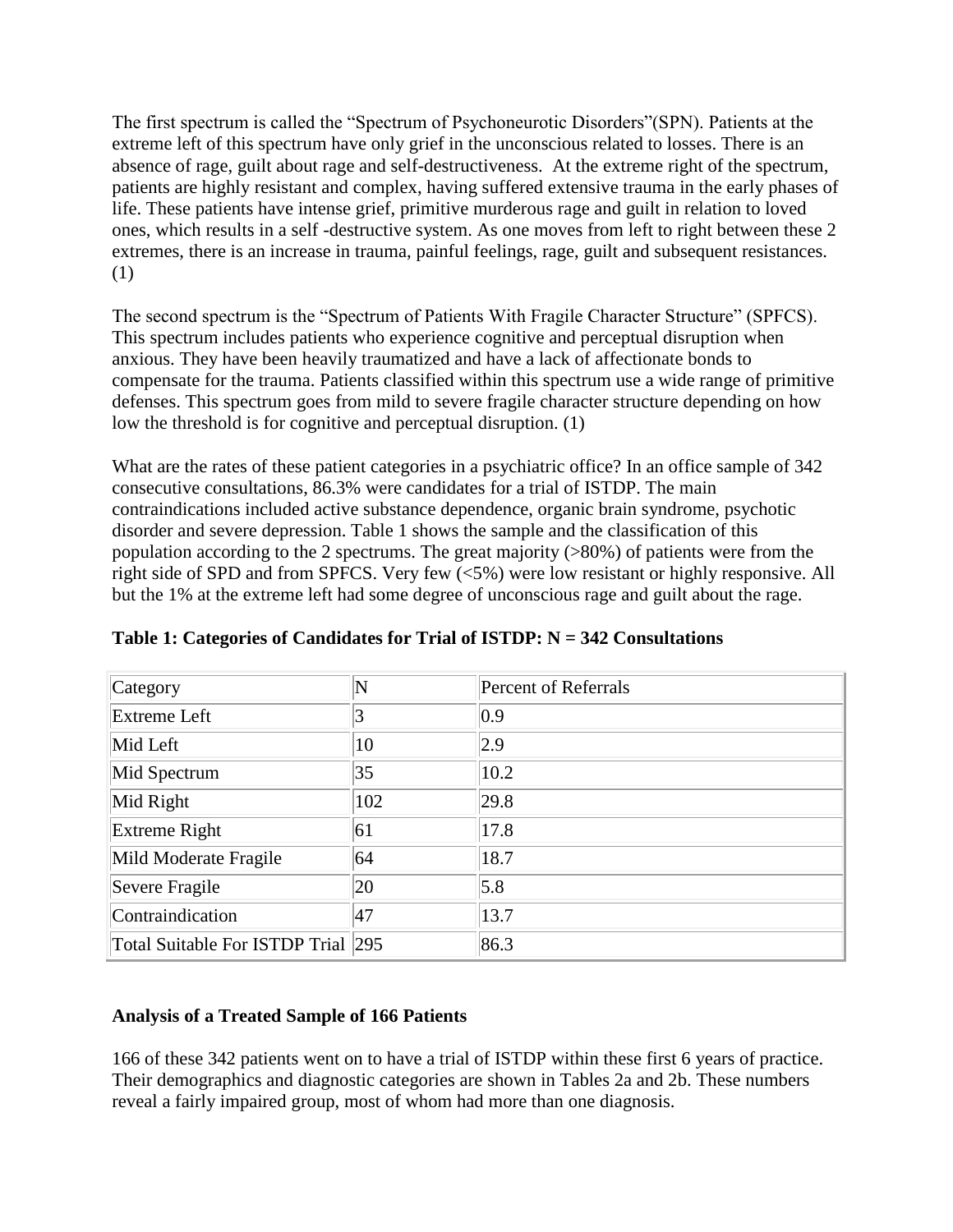The first spectrum is called the "Spectrum of Psychoneurotic Disorders"(SPN). Patients at the extreme left of this spectrum have only grief in the unconscious related to losses. There is an absence of rage, guilt about rage and self-destructiveness. At the extreme right of the spectrum, patients are highly resistant and complex, having suffered extensive trauma in the early phases of life. These patients have intense grief, primitive murderous rage and guilt in relation to loved ones, which results in a self -destructive system. As one moves from left to right between these 2 extremes, there is an increase in trauma, painful feelings, rage, guilt and subsequent resistances. (1)

The second spectrum is the "Spectrum of Patients With Fragile Character Structure" (SPFCS). This spectrum includes patients who experience cognitive and perceptual disruption when anxious. They have been heavily traumatized and have a lack of affectionate bonds to compensate for the trauma. Patients classified within this spectrum use a wide range of primitive defenses. This spectrum goes from mild to severe fragile character structure depending on how low the threshold is for cognitive and perceptual disruption. (1)

What are the rates of these patient categories in a psychiatric office? In an office sample of 342 consecutive consultations, 86.3% were candidates for a trial of ISTDP. The main contraindications included active substance dependence, organic brain syndrome, psychotic disorder and severe depression. Table 1 shows the sample and the classification of this population according to the 2 spectrums. The great majority (>80%) of patients were from the right side of SPD and from SPFCS. Very few (<5%) were low resistant or highly responsive. All but the 1% at the extreme left had some degree of unconscious rage and guilt about the rage.

| Category                           | N   | <b>Percent of Referrals</b> |
|------------------------------------|-----|-----------------------------|
| <b>Extreme Left</b>                |     | 0.9                         |
| Mid Left                           | 10  | 2.9                         |
| Mid Spectrum                       | 35  | 10.2                        |
| Mid Right                          | 102 | 29.8                        |
| Extreme Right                      | 61  | 17.8                        |
| Mild Moderate Fragile              | 64  | 18.7                        |
| Severe Fragile                     | 20  | 5.8                         |
| Contraindication                   | 47  | 13.7                        |
| Total Suitable For ISTDP Trial 295 |     | 86.3                        |

**Table 1: Categories of Candidates for Trial of ISTDP: N = 342 Consultations**

# **Analysis of a Treated Sample of 166 Patients**

166 of these 342 patients went on to have a trial of ISTDP within these first 6 years of practice. Their demographics and diagnostic categories are shown in Tables 2a and 2b. These numbers reveal a fairly impaired group, most of whom had more than one diagnosis.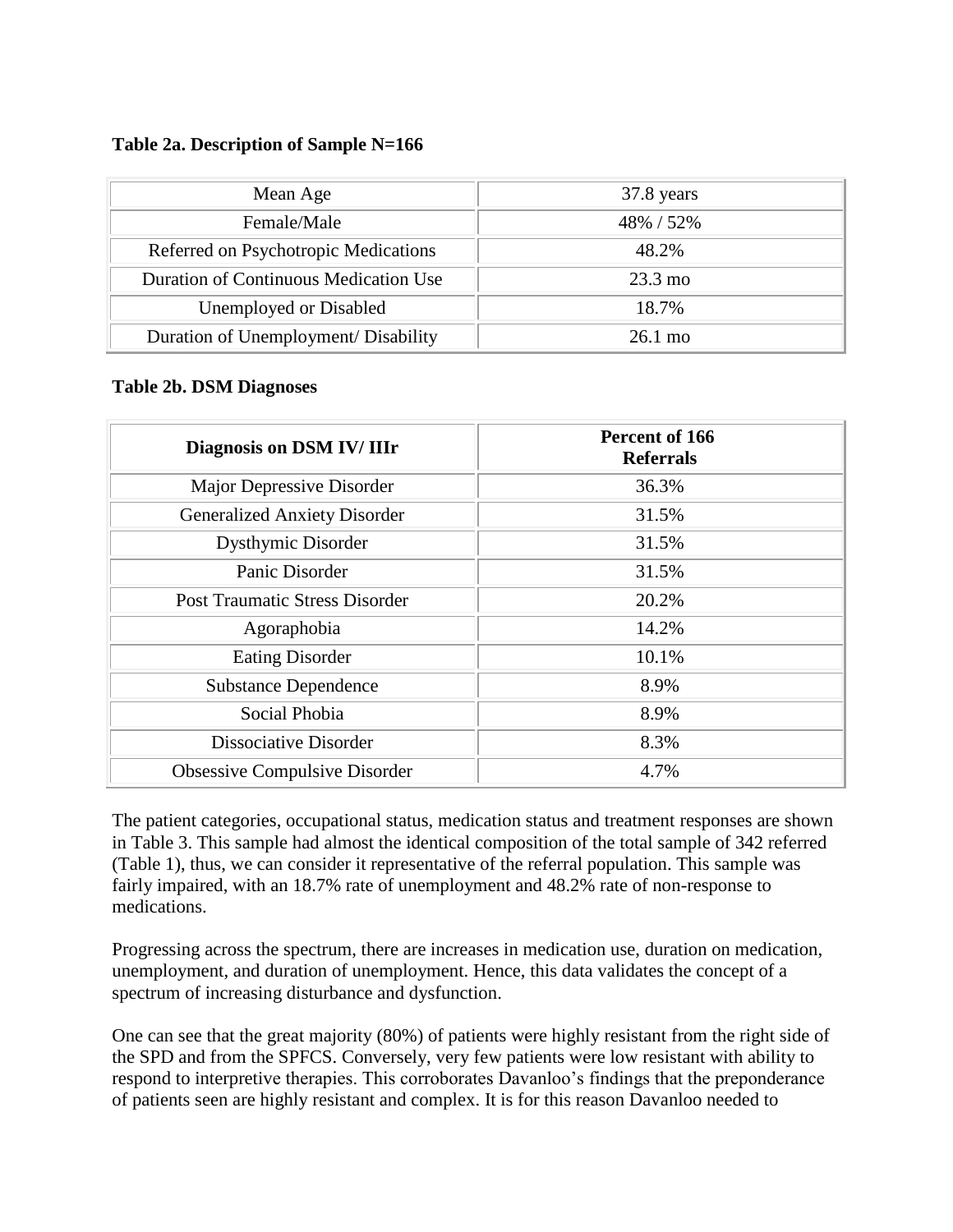#### **Table 2a. Description of Sample N=166**

| Mean Age                              | 37.8 years        |
|---------------------------------------|-------------------|
| Female/Male                           | 48% / 52%         |
| Referred on Psychotropic Medications  | 48.2%             |
| Duration of Continuous Medication Use | $23.3 \text{ mo}$ |
| Unemployed or Disabled                | 18.7%             |
| Duration of Unemployment/ Disability  | $26.1 \text{ mo}$ |

#### **Table 2b. DSM Diagnoses**

| Diagnosis on DSM IV/ IIIr             | Percent of 166<br><b>Referrals</b> |
|---------------------------------------|------------------------------------|
| Major Depressive Disorder             | 36.3%                              |
| <b>Generalized Anxiety Disorder</b>   | 31.5%                              |
| <b>Dysthymic Disorder</b>             | 31.5%                              |
| Panic Disorder                        | 31.5%                              |
| <b>Post Traumatic Stress Disorder</b> | 20.2%                              |
| Agoraphobia                           | 14.2%                              |
| <b>Eating Disorder</b>                | 10.1%                              |
| <b>Substance Dependence</b>           | 8.9%                               |
| Social Phobia                         | 8.9%                               |
| Dissociative Disorder                 | 8.3%                               |
| Obsessive Compulsive Disorder         | 4.7%                               |

The patient categories, occupational status, medication status and treatment responses are shown in Table 3. This sample had almost the identical composition of the total sample of 342 referred (Table 1), thus, we can consider it representative of the referral population. This sample was fairly impaired, with an 18.7% rate of unemployment and 48.2% rate of non-response to medications.

Progressing across the spectrum, there are increases in medication use, duration on medication, unemployment, and duration of unemployment. Hence, this data validates the concept of a spectrum of increasing disturbance and dysfunction.

One can see that the great majority (80%) of patients were highly resistant from the right side of the SPD and from the SPFCS. Conversely, very few patients were low resistant with ability to respond to interpretive therapies. This corroborates Davanloo's findings that the preponderance of patients seen are highly resistant and complex. It is for this reason Davanloo needed to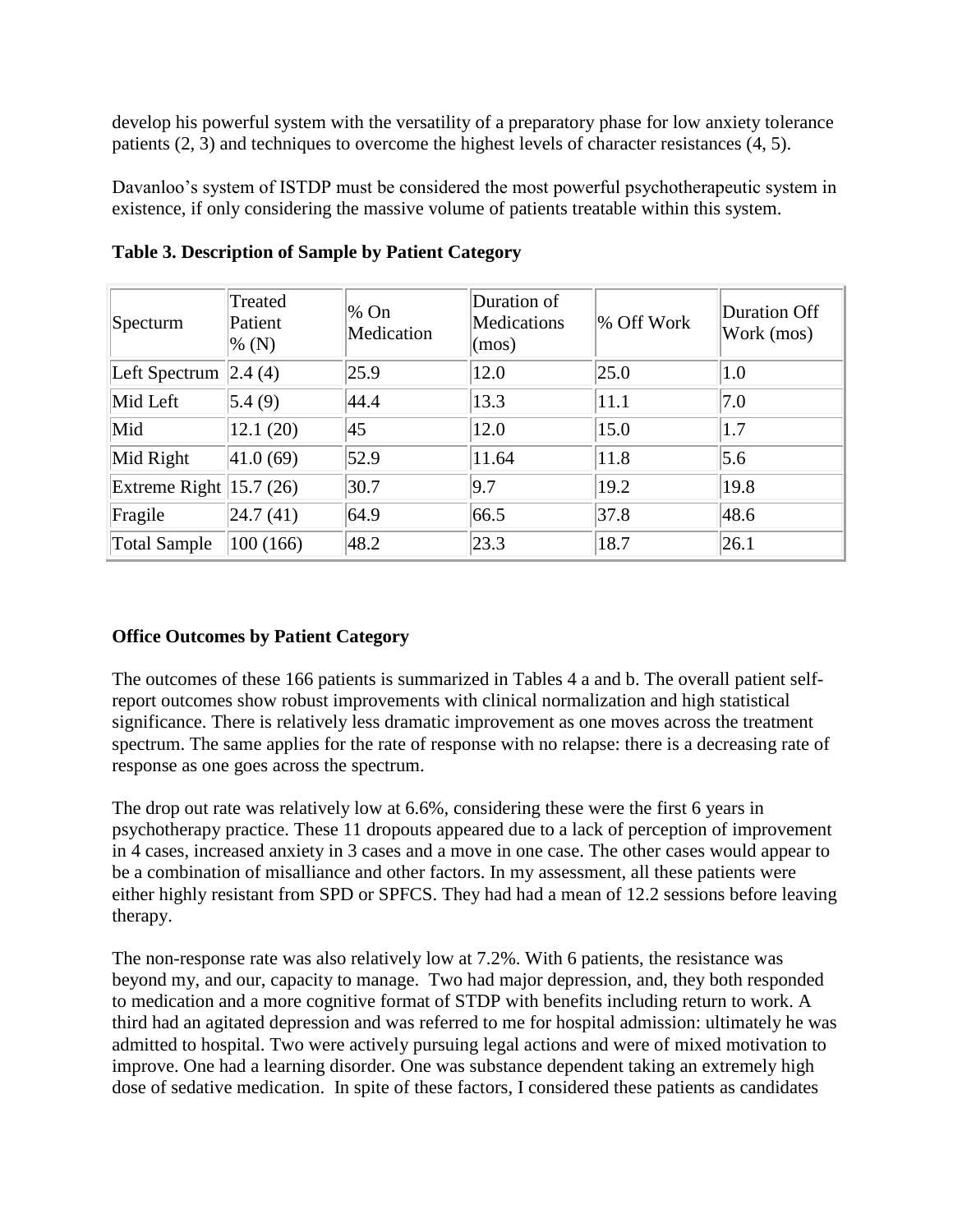develop his powerful system with the versatility of a preparatory phase for low anxiety tolerance patients (2, 3) and techniques to overcome the highest levels of character resistances (4, 5).

Davanloo's system of ISTDP must be considered the most powerful psychotherapeutic system in existence, if only considering the massive volume of patients treatable within this system.

| Specturm                      | Treated<br>Patient<br>$\%$ (N) | % On<br>Medication | Duration of<br>Medications<br>(mos) | % Off Work | <b>Duration Off</b><br>Work (mos) |
|-------------------------------|--------------------------------|--------------------|-------------------------------------|------------|-----------------------------------|
| Left Spectrum $\vert$ 2.4 (4) |                                | 25.9               | 12.0                                | 25.0       | 1.0                               |
| Mid Left                      | 5.4(9)                         | 44.4               | 13.3                                | 11.1       | 7.0                               |
| Mid                           | 12.1(20)                       | 45                 | 12.0                                | 15.0       | 1.7                               |
| Mid Right                     | 41.0(69)                       | 52.9               | 11.64                               | 11.8       | 5.6                               |
| Extreme Right $ 15.7 (26) $   |                                | 30.7               | 9.7                                 | 19.2       | 19.8                              |
| Fragile                       | 24.7(41)                       | 64.9               | 66.5                                | 37.8       | 48.6                              |
| <b>Total Sample</b>           | 100(166)                       | 48.2               | 23.3                                | 18.7       | 26.1                              |

**Table 3. Description of Sample by Patient Category**

# **Office Outcomes by Patient Category**

The outcomes of these 166 patients is summarized in Tables 4 a and b. The overall patient selfreport outcomes show robust improvements with clinical normalization and high statistical significance. There is relatively less dramatic improvement as one moves across the treatment spectrum. The same applies for the rate of response with no relapse: there is a decreasing rate of response as one goes across the spectrum.

The drop out rate was relatively low at 6.6%, considering these were the first 6 years in psychotherapy practice. These 11 dropouts appeared due to a lack of perception of improvement in 4 cases, increased anxiety in 3 cases and a move in one case. The other cases would appear to be a combination of misalliance and other factors. In my assessment, all these patients were either highly resistant from SPD or SPFCS. They had had a mean of 12.2 sessions before leaving therapy.

The non-response rate was also relatively low at 7.2%. With 6 patients, the resistance was beyond my, and our, capacity to manage. Two had major depression, and, they both responded to medication and a more cognitive format of STDP with benefits including return to work. A third had an agitated depression and was referred to me for hospital admission: ultimately he was admitted to hospital. Two were actively pursuing legal actions and were of mixed motivation to improve. One had a learning disorder. One was substance dependent taking an extremely high dose of sedative medication. In spite of these factors, I considered these patients as candidates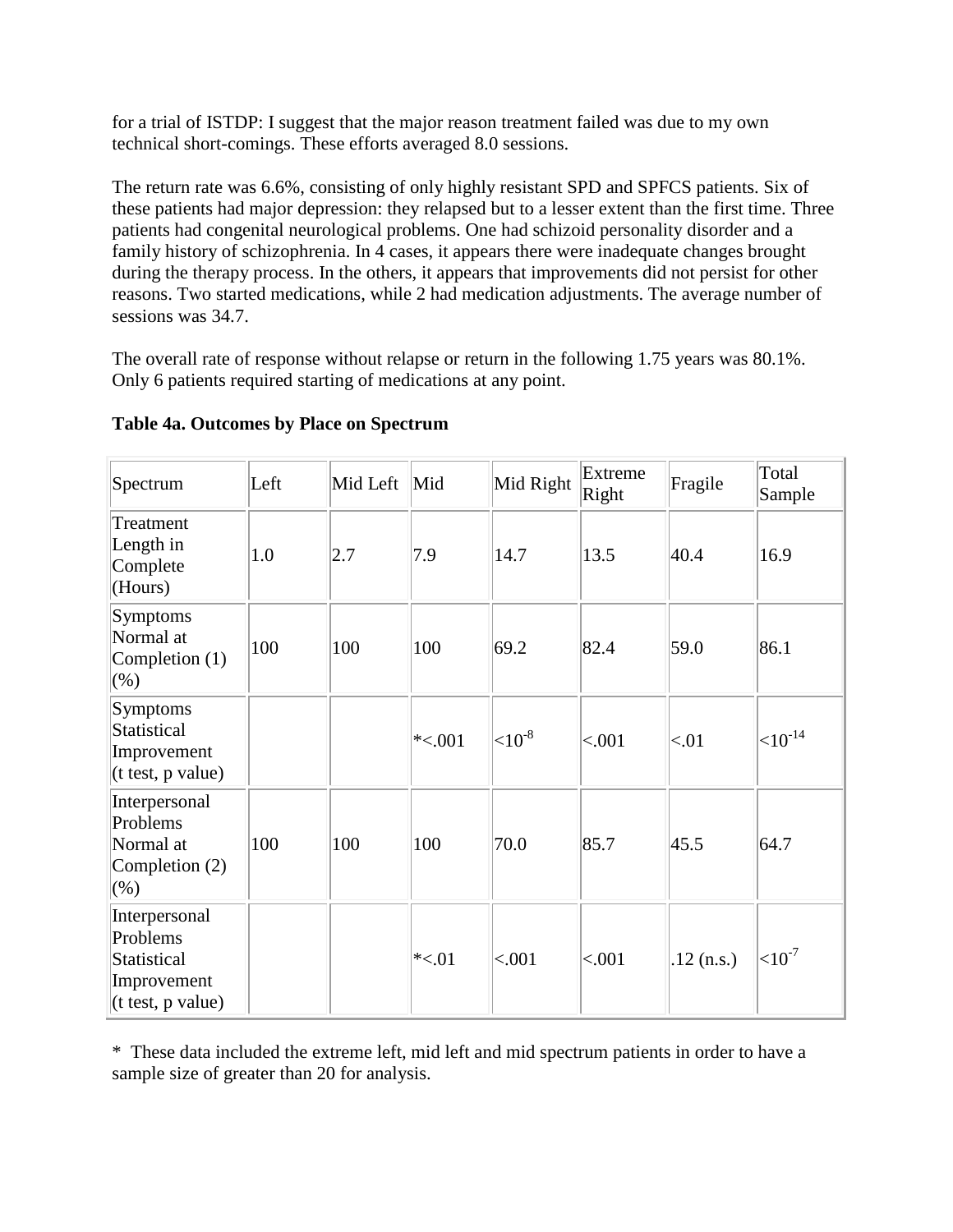for a trial of ISTDP: I suggest that the major reason treatment failed was due to my own technical short-comings. These efforts averaged 8.0 sessions.

The return rate was 6.6%, consisting of only highly resistant SPD and SPFCS patients. Six of these patients had major depression: they relapsed but to a lesser extent than the first time. Three patients had congenital neurological problems. One had schizoid personality disorder and a family history of schizophrenia. In 4 cases, it appears there were inadequate changes brought during the therapy process. In the others, it appears that improvements did not persist for other reasons. Two started medications, while 2 had medication adjustments. The average number of sessions was 34.7.

The overall rate of response without relapse or return in the following 1.75 years was 80.1%. Only 6 patients required starting of medications at any point.

| Spectrum                                                                                       | Left | Mid Left | Mid          | Mid Right    | Extreme<br>Right | Fragile      | Total<br>Sample |
|------------------------------------------------------------------------------------------------|------|----------|--------------|--------------|------------------|--------------|-----------------|
| Treatment<br>Length in<br>Complete<br>(Hours)                                                  | 1.0  | 2.7      | 7.9          | 14.7         | 13.5             | 40.4         | 16.9            |
| Symptoms<br>Normal at<br>Completion $(1)$<br>(% )                                              | 100  | 100      | 100          | 69.2         | 82.4             | 59.0         | 86.1            |
| Symptoms<br>Statistical<br>Improvement<br>$(t \text{ test}, p \text{ value})$                  |      |          | $\ast$ <.001 | ${<}10^{-8}$ | ${<}001$         | <.01         | $11^{-14}$      |
| Interpersonal<br>Problems<br>Normal at<br>Completion $(2)$<br>(% )                             | 100  | 100      | 100          | 70.0         | 85.7             | 45.5         | 64.7            |
| Interpersonal<br>Problems<br>Statistical<br>Improvement<br>$(t \text{ test}, p \text{ value})$ |      |          | $*<.01$      | < .001       | < .001           | $.12$ (n.s.) | $10^{-7}$       |

# **Table 4a. Outcomes by Place on Spectrum**

\* These data included the extreme left, mid left and mid spectrum patients in order to have a sample size of greater than 20 for analysis.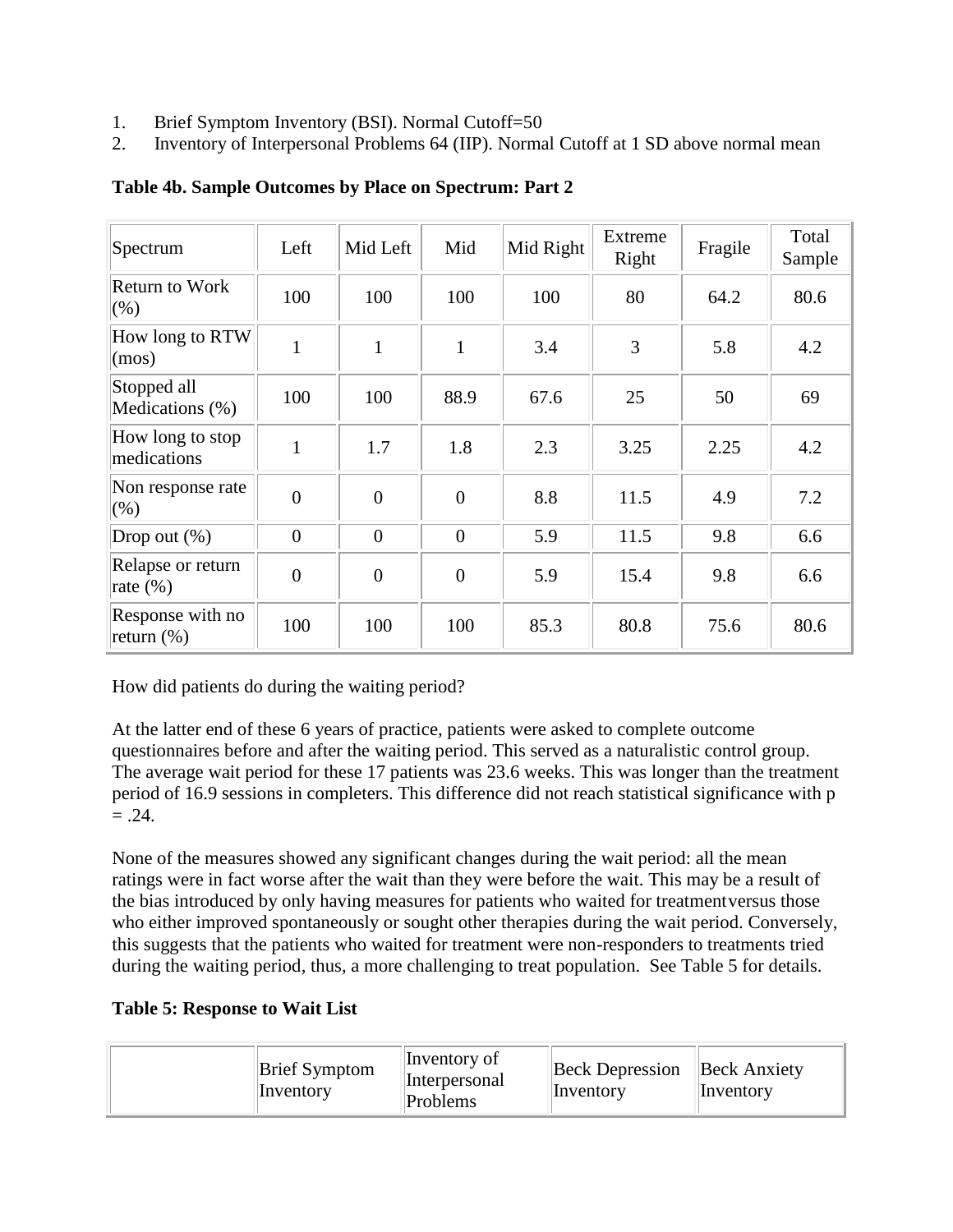- 1. Brief Symptom Inventory (BSI). Normal Cutoff=50
- 2. Inventory of Interpersonal Problems 64 (IIP). Normal Cutoff at 1 SD above normal mean

| Spectrum                          | Left           | Mid Left       | Mid            | Mid Right | Extreme<br>Right | Fragile | Total<br>Sample |
|-----------------------------------|----------------|----------------|----------------|-----------|------------------|---------|-----------------|
| <b>Return to Work</b><br>$(\% )$  | 100            | 100            | 100            | 100       | 80               | 64.2    | 80.6            |
| How long to RTW<br>(mos)          | $\mathbf{1}$   | $\mathbf{1}$   | $\mathbf{1}$   | 3.4       | 3                | 5.8     | 4.2             |
| Stopped all<br>Medications (%)    | 100            | 100            | 88.9           | 67.6      | 25               | 50      | 69              |
| How long to stop<br>medications   | 1              | 1.7            | 1.8            | 2.3       | 3.25             | 2.25    | 4.2             |
| Non response rate<br>$(\% )$      | $\overline{0}$ | $\overline{0}$ | $\overline{0}$ | 8.8       | 11.5             | 4.9     | 7.2             |
| Drop out $(\%)$                   | $\overline{0}$ | $\overline{0}$ | $\overline{0}$ | 5.9       | 11.5             | 9.8     | 6.6             |
| Relapse or return<br>rate $(\% )$ | $\overline{0}$ | $\overline{0}$ | $\overline{0}$ | 5.9       | 15.4             | 9.8     | 6.6             |
| Response with no<br>return $(\%)$ | 100            | 100            | 100            | 85.3      | 80.8             | 75.6    | 80.6            |

**Table 4b. Sample Outcomes by Place on Spectrum: Part 2**

How did patients do during the waiting period?

At the latter end of these 6 years of practice, patients were asked to complete outcome questionnaires before and after the waiting period. This served as a naturalistic control group. The average wait period for these 17 patients was 23.6 weeks. This was longer than the treatment period of 16.9 sessions in completers. This difference did not reach statistical significance with p  $=.24.$ 

None of the measures showed any significant changes during the wait period: all the mean ratings were in fact worse after the wait than they were before the wait. This may be a result of the bias introduced by only having measures for patients who waited for treatmentversus those who either improved spontaneously or sought other therapies during the wait period. Conversely, this suggests that the patients who waited for treatment were non-responders to treatments tried during the waiting period, thus, a more challenging to treat population. See Table 5 for details.

# **Table 5: Response to Wait List**

| Inventory of<br><b>Brief Symptom</b><br><i>Interpersonal</i><br>Inventory<br>Problems | <b>Beck Depression</b><br>Inventory | <b>Beck Anxiety</b><br>Inventory |
|---------------------------------------------------------------------------------------|-------------------------------------|----------------------------------|
|---------------------------------------------------------------------------------------|-------------------------------------|----------------------------------|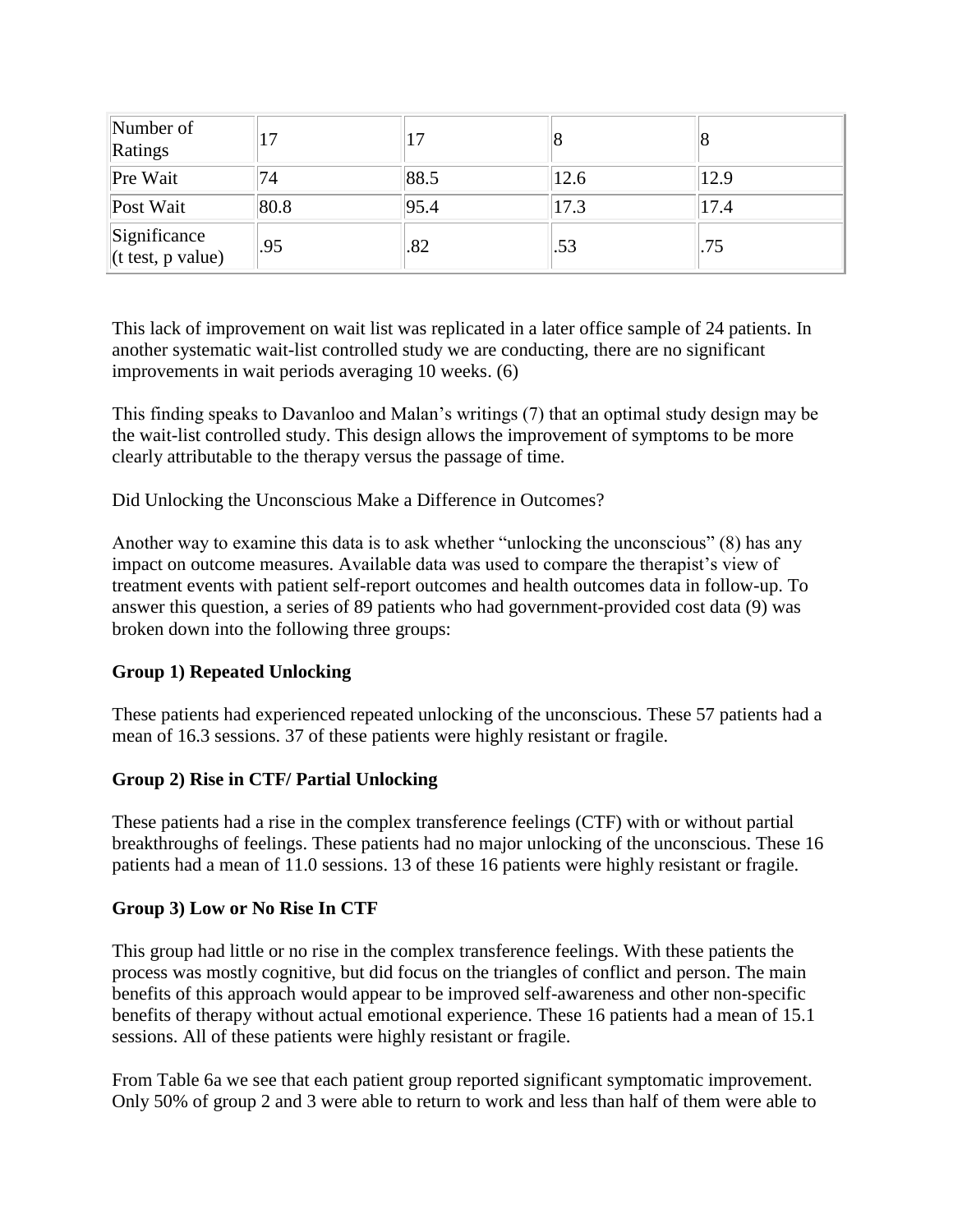| Number of<br>Ratings                | 17   |      |      |      |
|-------------------------------------|------|------|------|------|
| Pre Wait                            | 74   | 88.5 | 12.6 | 12.9 |
| Post Wait                           | 80.8 | 95.4 | 17.3 | 17.4 |
| Significance<br>$(t$ test, p value) | .95  | .82  | .53  | .75  |

This lack of improvement on wait list was replicated in a later office sample of 24 patients. In another systematic wait-list controlled study we are conducting, there are no significant improvements in wait periods averaging 10 weeks. (6)

This finding speaks to Davanloo and Malan's writings (7) that an optimal study design may be the wait-list controlled study. This design allows the improvement of symptoms to be more clearly attributable to the therapy versus the passage of time.

Did Unlocking the Unconscious Make a Difference in Outcomes?

Another way to examine this data is to ask whether "unlocking the unconscious" (8) has any impact on outcome measures. Available data was used to compare the therapist's view of treatment events with patient self-report outcomes and health outcomes data in follow-up. To answer this question, a series of 89 patients who had government-provided cost data (9) was broken down into the following three groups:

# **Group 1) Repeated Unlocking**

These patients had experienced repeated unlocking of the unconscious. These 57 patients had a mean of 16.3 sessions. 37 of these patients were highly resistant or fragile.

# **Group 2) Rise in CTF/ Partial Unlocking**

These patients had a rise in the complex transference feelings (CTF) with or without partial breakthroughs of feelings. These patients had no major unlocking of the unconscious. These 16 patients had a mean of 11.0 sessions. 13 of these 16 patients were highly resistant or fragile.

#### **Group 3) Low or No Rise In CTF**

This group had little or no rise in the complex transference feelings. With these patients the process was mostly cognitive, but did focus on the triangles of conflict and person. The main benefits of this approach would appear to be improved self-awareness and other non-specific benefits of therapy without actual emotional experience. These 16 patients had a mean of 15.1 sessions. All of these patients were highly resistant or fragile.

From Table 6a we see that each patient group reported significant symptomatic improvement. Only 50% of group 2 and 3 were able to return to work and less than half of them were able to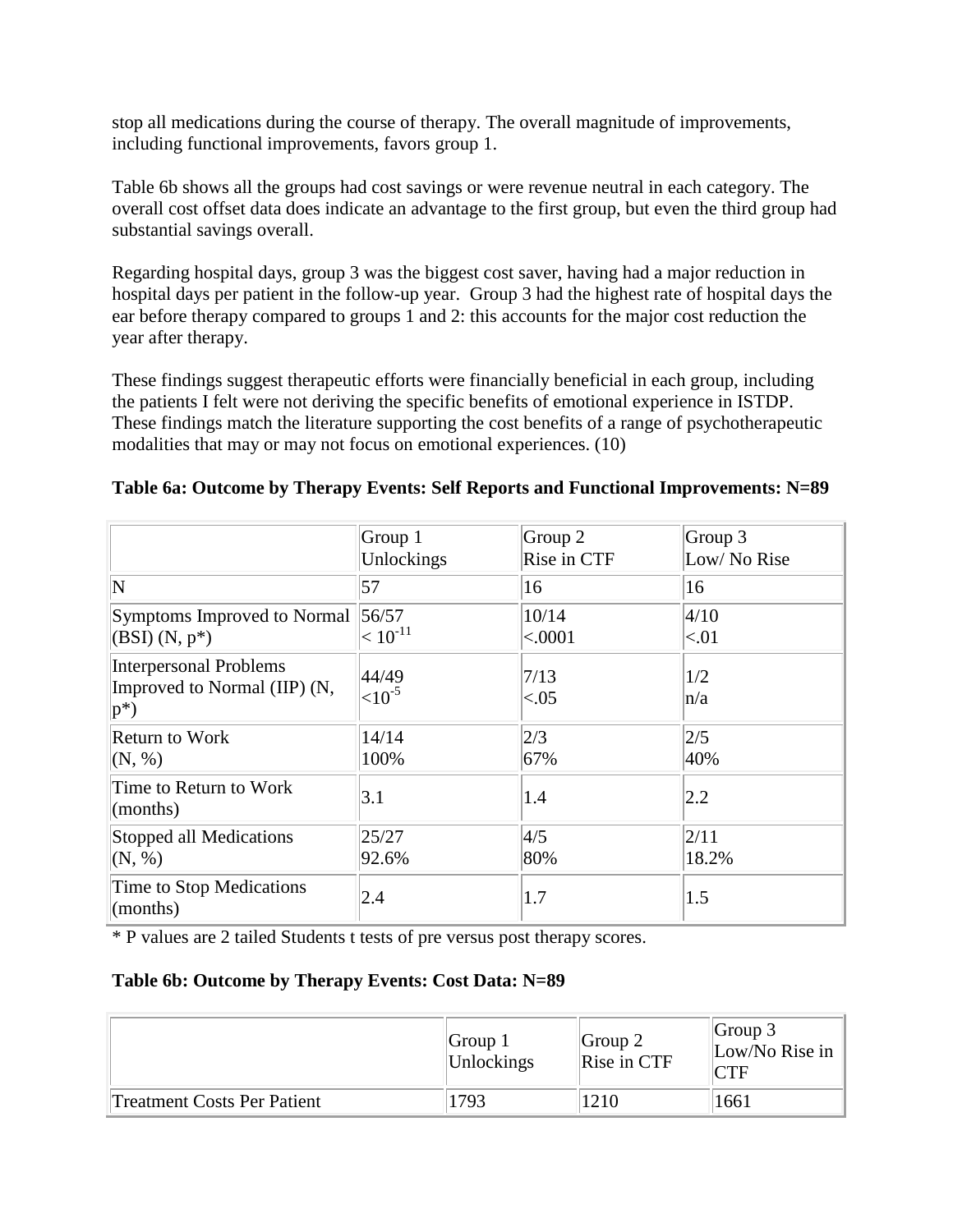stop all medications during the course of therapy. The overall magnitude of improvements, including functional improvements, favors group 1.

Table 6b shows all the groups had cost savings or were revenue neutral in each category. The overall cost offset data does indicate an advantage to the first group, but even the third group had substantial savings overall.

Regarding hospital days, group 3 was the biggest cost saver, having had a major reduction in hospital days per patient in the follow-up year. Group 3 had the highest rate of hospital days the ear before therapy compared to groups 1 and 2: this accounts for the major cost reduction the year after therapy.

These findings suggest therapeutic efforts were financially beneficial in each group, including the patients I felt were not deriving the specific benefits of emotional experience in ISTDP. These findings match the literature supporting the cost benefits of a range of psychotherapeutic modalities that may or may not focus on emotional experiences. (10)

|                                                                         | Group 1               | Group 2        | Group 3     |
|-------------------------------------------------------------------------|-----------------------|----------------|-------------|
|                                                                         | Unlockings            | Rise in CTF    | Low/No Rise |
| N                                                                       | 57                    | 16             | 16          |
| Symptoms Improved to Normal                                             | 56/57                 | 10/14          | 4/10        |
| $(BSI)$ $(N, p^*)$                                                      | $< 10^{\text{-}11}$   | < .0001        | ${<}01$     |
| <b>Interpersonal Problems</b><br>Improved to Normal (IIP) (N,<br>$ p^*$ | 44/49<br>${<}10^{-5}$ | 7/13<br>< 0.05 | 1/2<br>n/a  |
| <b>Return to Work</b>                                                   | 14/14                 | 2/3            | 2/5         |
| (N, %)                                                                  | 100%                  | 67%            | 40%         |
| Time to Return to Work<br>(months)                                      | 3.1                   | 1.4            | 2.2         |
| Stopped all Medications                                                 | 25/27                 | 4/5            | 2/11        |
| (N, %)                                                                  | 92.6%                 | 80%            | 18.2%       |
| Time to Stop Medications<br>$\text{(months)}$                           | 2.4                   | 1.7            | 1.5         |

|  |  |  | Table 6a: Outcome by Therapy Events: Self Reports and Functional Improvements: N=89 |  |
|--|--|--|-------------------------------------------------------------------------------------|--|
|  |  |  |                                                                                     |  |

\* P values are 2 tailed Students t tests of pre versus post therapy scores.

#### **Table 6b: Outcome by Therapy Events: Cost Data: N=89**

|                                    | Group $1$<br>Unlockings | Group 2 <br>Rise in CTF | Group $3$<br>Low/No Rise in<br>$\mathcal{T}F$ |
|------------------------------------|-------------------------|-------------------------|-----------------------------------------------|
| <b>Treatment Costs Per Patient</b> | 1793                    | 1210                    | 1661                                          |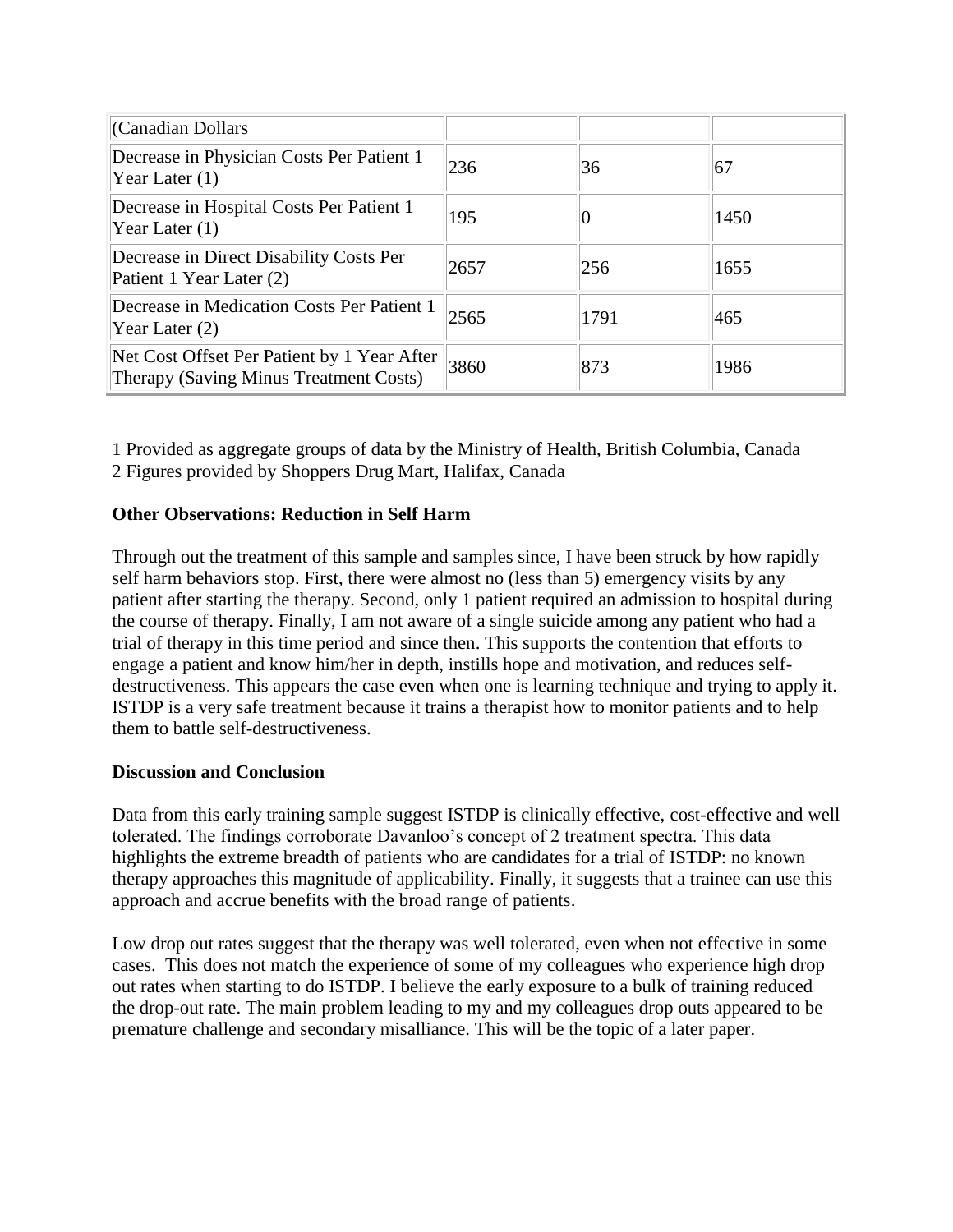| (Canadian Dollars                                                                     |      |      |      |
|---------------------------------------------------------------------------------------|------|------|------|
| Decrease in Physician Costs Per Patient 1<br>Year Later $(1)$                         | 236  | 36   | 67   |
| Decrease in Hospital Costs Per Patient 1<br>Year Later $(1)$                          | 195  |      | 1450 |
| Decrease in Direct Disability Costs Per<br>Patient 1 Year Later (2)                   | 2657 | 256  | 1655 |
| Decrease in Medication Costs Per Patient 1<br>Year Later $(2)$                        | 2565 | 1791 | 465  |
| Net Cost Offset Per Patient by 1 Year After<br>Therapy (Saving Minus Treatment Costs) | 3860 | 873  | 1986 |

1 Provided as aggregate groups of data by the Ministry of Health, British Columbia, Canada 2 Figures provided by Shoppers Drug Mart, Halifax, Canada

# **Other Observations: Reduction in Self Harm**

Through out the treatment of this sample and samples since, I have been struck by how rapidly self harm behaviors stop. First, there were almost no (less than 5) emergency visits by any patient after starting the therapy. Second, only 1 patient required an admission to hospital during the course of therapy. Finally, I am not aware of a single suicide among any patient who had a trial of therapy in this time period and since then. This supports the contention that efforts to engage a patient and know him/her in depth, instills hope and motivation, and reduces selfdestructiveness. This appears the case even when one is learning technique and trying to apply it. ISTDP is a very safe treatment because it trains a therapist how to monitor patients and to help them to battle self-destructiveness.

# **Discussion and Conclusion**

Data from this early training sample suggest ISTDP is clinically effective, cost-effective and well tolerated. The findings corroborate Davanloo's concept of 2 treatment spectra. This data highlights the extreme breadth of patients who are candidates for a trial of ISTDP: no known therapy approaches this magnitude of applicability. Finally, it suggests that a trainee can use this approach and accrue benefits with the broad range of patients.

Low drop out rates suggest that the therapy was well tolerated, even when not effective in some cases. This does not match the experience of some of my colleagues who experience high drop out rates when starting to do ISTDP. I believe the early exposure to a bulk of training reduced the drop-out rate. The main problem leading to my and my colleagues drop outs appeared to be premature challenge and secondary misalliance. This will be the topic of a later paper.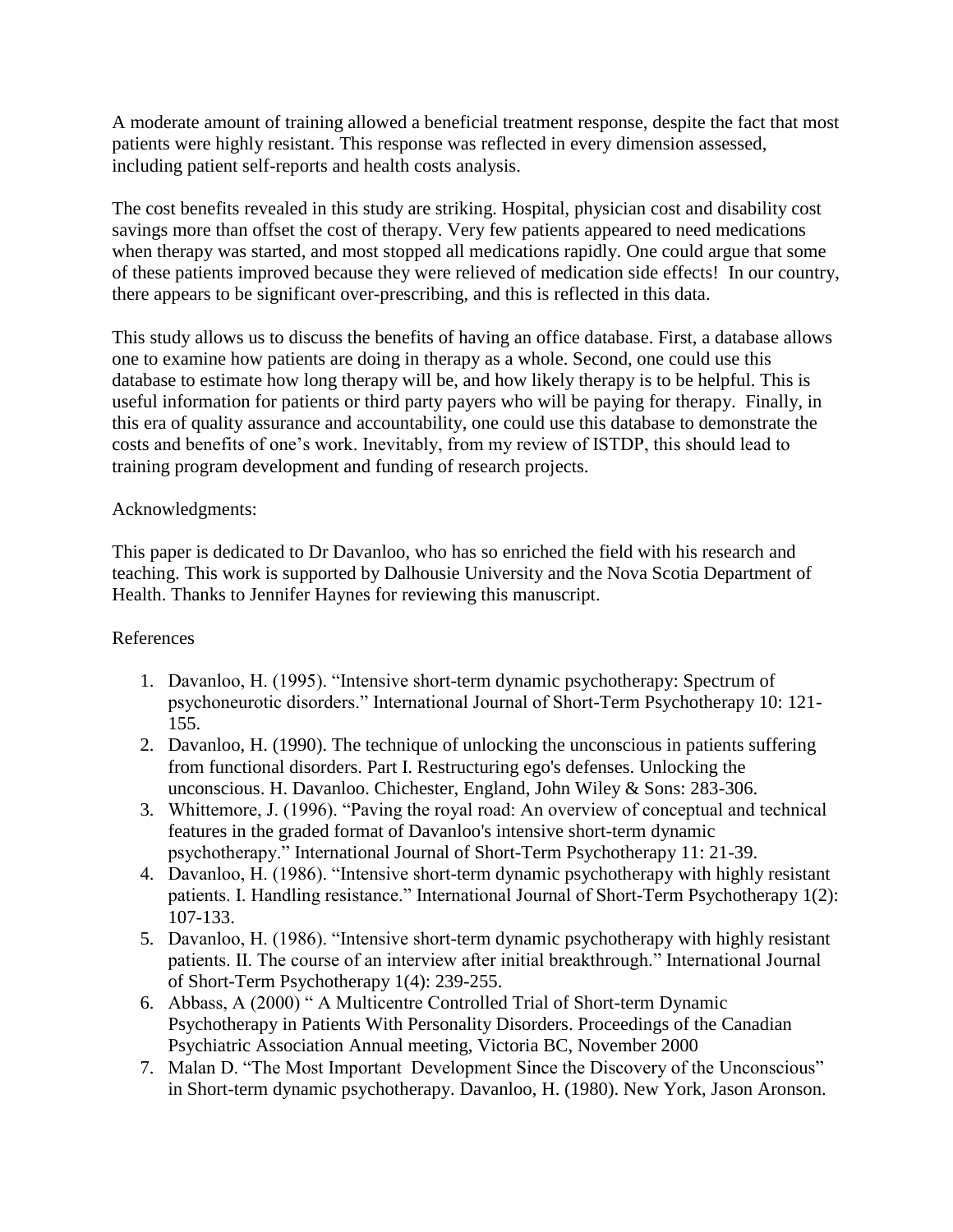A moderate amount of training allowed a beneficial treatment response, despite the fact that most patients were highly resistant. This response was reflected in every dimension assessed, including patient self-reports and health costs analysis.

The cost benefits revealed in this study are striking. Hospital, physician cost and disability cost savings more than offset the cost of therapy. Very few patients appeared to need medications when therapy was started, and most stopped all medications rapidly. One could argue that some of these patients improved because they were relieved of medication side effects! In our country, there appears to be significant over-prescribing, and this is reflected in this data.

This study allows us to discuss the benefits of having an office database. First, a database allows one to examine how patients are doing in therapy as a whole. Second, one could use this database to estimate how long therapy will be, and how likely therapy is to be helpful. This is useful information for patients or third party payers who will be paying for therapy. Finally, in this era of quality assurance and accountability, one could use this database to demonstrate the costs and benefits of one's work. Inevitably, from my review of ISTDP, this should lead to training program development and funding of research projects.

# Acknowledgments:

This paper is dedicated to Dr Davanloo, who has so enriched the field with his research and teaching. This work is supported by Dalhousie University and the Nova Scotia Department of Health. Thanks to Jennifer Haynes for reviewing this manuscript.

#### References

- 1. Davanloo, H. (1995). "Intensive short-term dynamic psychotherapy: Spectrum of psychoneurotic disorders." International Journal of Short-Term Psychotherapy 10: 121- 155.
- 2. Davanloo, H. (1990). The technique of unlocking the unconscious in patients suffering from functional disorders. Part I. Restructuring ego's defenses. Unlocking the unconscious. H. Davanloo. Chichester, England, John Wiley & Sons: 283-306.
- 3. Whittemore, J. (1996). "Paving the royal road: An overview of conceptual and technical features in the graded format of Davanloo's intensive short-term dynamic psychotherapy." International Journal of Short-Term Psychotherapy 11: 21-39.
- 4. Davanloo, H. (1986). "Intensive short-term dynamic psychotherapy with highly resistant patients. I. Handling resistance." International Journal of Short-Term Psychotherapy 1(2): 107-133.
- 5. Davanloo, H. (1986). "Intensive short-term dynamic psychotherapy with highly resistant patients. II. The course of an interview after initial breakthrough." International Journal of Short-Term Psychotherapy 1(4): 239-255.
- 6. Abbass, A (2000) " A Multicentre Controlled Trial of Short-term Dynamic Psychotherapy in Patients With Personality Disorders. Proceedings of the Canadian Psychiatric Association Annual meeting, Victoria BC, November 2000
- 7. Malan D. "The Most Important Development Since the Discovery of the Unconscious" in Short-term dynamic psychotherapy. Davanloo, H. (1980). New York, Jason Aronson.